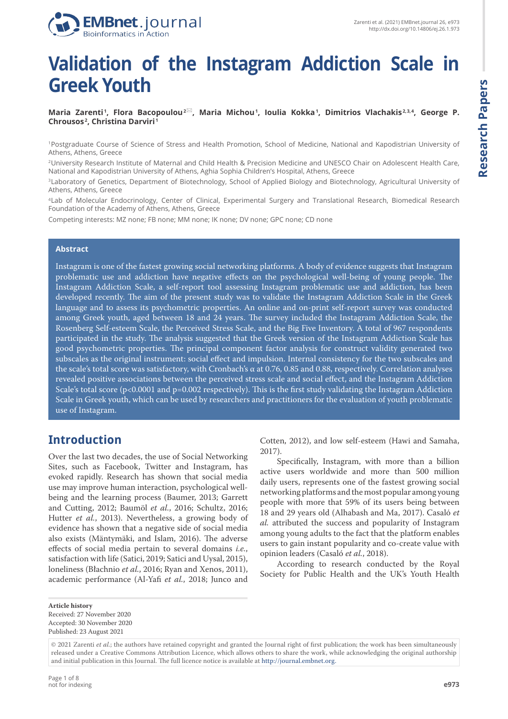**Research Papers**

Research Papers



# **Validation of the Instagram Addiction Scale in Greek Youth**

#### **Maria Zarenti <sup>1</sup> , Flora Bacopoulou 2 , Maria Michou <sup>1</sup> , Ioulia Kokka <sup>1</sup> , Dimitrios Vlachakis 2, 3, 4, George P. Chrousos <sup>2</sup> , Christina Darviri <sup>1</sup>**

<sup>1</sup>Postgraduate Course of Science of Stress and Health Promotion, School of Medicine, National and Kapodistrian University of Athens, Athens, Greece

<sup>2</sup>University Research Institute of Maternal and Child Health & Precision Medicine and UNESCO Chair on Adolescent Health Care, National and Kapodistrian University of Athens, Aghia Sophia Children's Hospital, Athens, Greece

<sup>3</sup>Laboratory of Genetics, Department of Biotechnology, School of Applied Biology and Biotechnology, Agricultural University of Athens, Athens, Greece

<sup>4</sup>Lab of Molecular Endocrinology, Center of Clinical, Experimental Surgery and Translational Research, Biomedical Research Foundation of the Academy of Athens, Athens, Greece

Competing interests: MZ none; FB none; MM none; IK none; DV none; GPC none; CD none

#### **Abstract**

Instagram is one of the fastest growing social networking platforms. A body of evidence suggests that Instagram problematic use and addiction have negative effects on the psychological well-being of young people. The Instagram Addiction Scale, a self-report tool assessing Instagram problematic use and addiction, has been developed recently. The aim of the present study was to validate the Instagram Addiction Scale in the Greek language and to assess its psychometric properties. An online and on-print self-report survey was conducted among Greek youth, aged between 18 and 24 years. The survey included the Instagram Addiction Scale, the Rosenberg Self-esteem Scale, the Perceived Stress Scale, and the Big Five Inventory. A total of 967 respondents participated in the study. The analysis suggested that the Greek version of the Instagram Addiction Scale has good psychometric properties. The principal component factor analysis for construct validity generated two subscales as the original instrument: social effect and impulsion. Internal consistency for the two subscales and the scale's total score was satisfactory, with Cronbach's α at 0.76, 0.85 and 0.88, respectively. Correlation analyses revealed positive associations between the perceived stress scale and social effect, and the Instagram Addiction Scale's total score (p<0.0001 and p=0.002 respectively). This is the first study validating the Instagram Addiction Scale in Greek youth, which can be used by researchers and practitioners for the evaluation of youth problematic use of Instagram.

## **Introduction**

Over the last two decades, the use of Social Networking Sites, such as Facebook, Twitter and Instagram, has evoked rapidly. Research has shown that social media use may improve human interaction, psychological wellbeing and the learning process (Baumer, 2013; Garrett and Cutting, 2012; Baumöl *et al.*, 2016; Schultz, 2016; Hutter *et al.*, 2013). Nevertheless, a growing body of evidence has shown that a negative side of social media also exists (Mäntymäki, and Islam, 2016). The adverse effects of social media pertain to several domains *i.e.*, satisfaction with life (Satici, 2019; Satici and Uysal, 2015), loneliness (Błachnio *et al.*, 2016; Ryan and Xenos, 2011), academic performance (Al-Yafi *et al.*, 2018; Junco and

Cotten, 2012), and low self-esteem (Hawi and Samaha, 2017).

Specifically, Instagram, with more than a billion active users worldwide and more than 500 million daily users, represents one of the fastest growing social networking platforms and the most popular among young people with more that 59% of its users being between 18 and 29 years old (Alhabash and Ma, 2017). Casalό *et al.* attributed the success and popularity of Instagram among young adults to the fact that the platform enables users to gain instant popularity and co-create value with opinion leaders (Casaló *et al.*, 2018).

According to research conducted by the Royal Society for Public Health and the UK's Youth Health

**Article history** Received: 27 November 2020 Accepted: 30 November 2020 Published: 23 August 2021

<sup>© 2021</sup> Zarenti *et al.*; the authors have retained copyright and granted the Journal right of first publication; the work has been simultaneously released under a Creative Commons Attribution Licence, which allows others to share the work, while acknowledging the original authorship and initial publication in this Journal. The full licence notice is available at http://journal.embnet.org.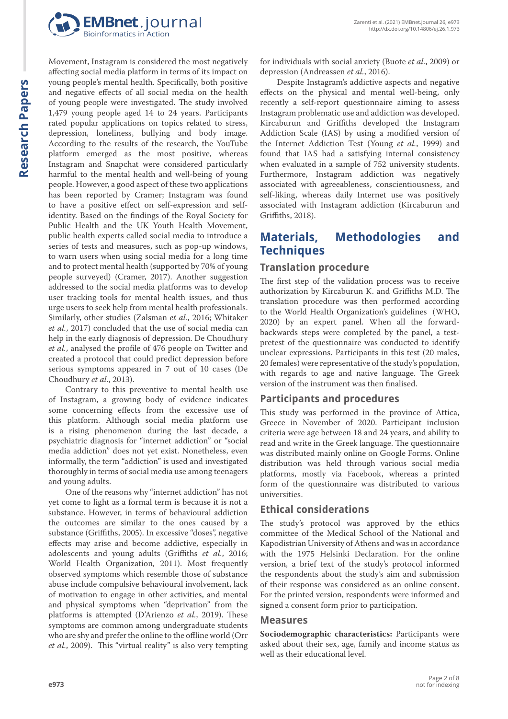

Movement, Instagram is considered the most negatively affecting social media platform in terms of its impact on young people's mental health. Specifically, both positive and negative effects of all social media on the health of young people were investigated. The study involved 1,479 young people aged 14 to 24 years. Participants rated popular applications on topics related to stress, depression, loneliness, bullying and body image. According to the results of the research, the YouTube platform emerged as the most positive, whereas Instagram and Snapchat were considered particularly harmful to the mental health and well-being of young people. However, a good aspect of these two applications has been reported by Cramer; Instagram was found to have a positive effect on self-expression and selfidentity. Based on the findings of the Royal Society for Public Health and the UK Youth Health Movement, public health experts called social media to introduce a series of tests and measures, such as pop-up windows, to warn users when using social media for a long time and to protect mental health (supported by 70% of young people surveyed) (Cramer, 2017). Another suggestion addressed to the social media platforms was to develop user tracking tools for mental health issues, and thus urge users to seek help from mental health professionals. Similarly, other studies (Zalsman *et al.*, 2016; Whitaker *et al.*, 2017) concluded that the use of social media can help in the early diagnosis of depression. De Choudhury *et al.*, analysed the profile of 476 people on Twitter and created a protocol that could predict depression before serious symptoms appeared in 7 out of 10 cases (De Choudhury *et al.*, 2013).

Contrary to this preventive to mental health use of Instagram, a growing body of evidence indicates some concerning effects from the excessive use of this platform. Although social media platform use is a rising phenomenon during the last decade, a psychiatric diagnosis for "internet addiction" or "social media addiction" does not yet exist. Nonetheless, even informally, the term "addiction" is used and investigated thoroughly in terms of social media use among teenagers and young adults.

One of the reasons why "internet addiction" has not yet come to light as a formal term is because it is not a substance. However, in terms of behavioural addiction the outcomes are similar to the ones caused by a substance (Griffiths, 2005). In excessive "doses", negative effects may arise and become addictive, especially in adolescents and young adults (Griffiths *et al.*, 2016; World Health Organization, 2011). Most frequently observed symptoms which resemble those of substance abuse include compulsive behavioural involvement, lack of motivation to engage in other activities, and mental and physical symptoms when "deprivation" from the platforms is attempted (D'Arienzo *et al.*, 2019). These symptoms are common among undergraduate students who are shy and prefer the online to the offline world (Orr *et al.*, 2009). This "virtual reality" is also very tempting

for individuals with social anxiety (Buote *et al.*, 2009) or depression (Andreassen *et al.*, 2016).

Despite Instagram's addictive aspects and negative effects on the physical and mental well-being, only recently a self-report questionnaire aiming to assess Instagram problematic use and addiction was developed. Kircaburun and Griffiths developed the Instagram Addiction Scale (IAS) by using a modified version of the Internet Addiction Test (Young *et al.*, 1999) and found that IAS had a satisfying internal consistency when evaluated in a sample of 752 university students. Furthermore, Instagram addiction was negatively associated with agreeableness, conscientiousness, and self-liking, whereas daily Internet use was positively associated with Instagram addiction (Kircaburun and Griffiths, 2018).

## **Materials, Methodologies and Techniques**

## **Translation procedure**

The first step of the validation process was to receive authorization by Kircaburun K. and Griffiths M.D. The translation procedure was then performed according to the World Health Organization's guidelines (WHO, 2020) by an expert panel. When all the forwardbackwards steps were completed by the panel, a testpretest of the questionnaire was conducted to identify unclear expressions. Participants in this test (20 males, 20 females) were representative of the study's population, with regards to age and native language. The Greek version of the instrument was then finalised.

## **Participants and procedures**

This study was performed in the province of Attica, Greece in November of 2020. Participant inclusion criteria were age between 18 and 24 years, and ability to read and write in the Greek language. The questionnaire was distributed mainly online on Google Forms. Online distribution was held through various social media platforms, mostly via Facebook, whereas a printed form of the questionnaire was distributed to various universities.

## **Ethical considerations**

The study's protocol was approved by the ethics committee of the Medical School of the National and Kapodistrian University of Athens and was in accordance with the 1975 Helsinki Declaration. For the online version, a brief text of the study's protocol informed the respondents about the study's aim and submission of their response was considered as an online consent. For the printed version, respondents were informed and signed a consent form prior to participation.

#### **Measures**

**Sociodemographic characteristics:** Participants were asked about their sex, age, family and income status as well as their educational level.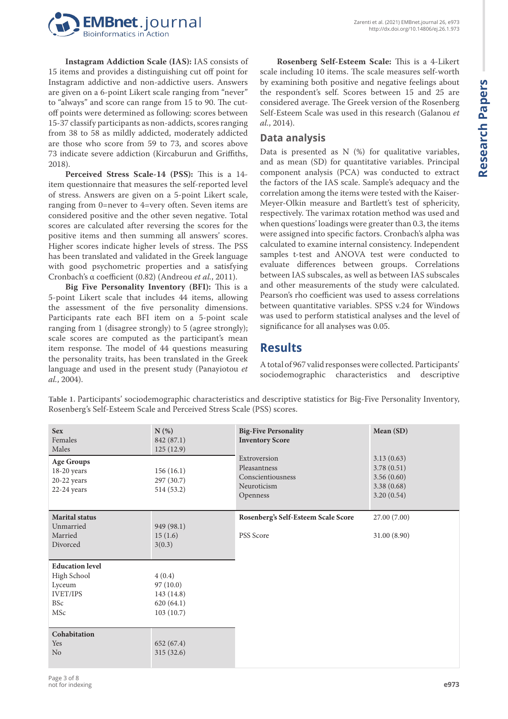

**Instagram Addiction Scale (IAS):** IAS consists of 15 items and provides a distinguishing cut off point for Instagram addictive and non-addictive users. Answers are given on a 6-point Likert scale ranging from "never" to "always" and score can range from 15 to 90. The cutoff points were determined as following: scores between 15-37 classify participants as non-addicts, scores ranging from 38 to 58 as mildly addicted, moderately addicted are those who score from 59 to 73, and scores above 73 indicate severe addiction (Kircaburun and Griffiths, 2018).

**Perceived Stress Scale-14 (PSS):** This is a 14 item questionnaire that measures the self-reported level of stress. Answers are given on a 5-point Likert scale, ranging from 0=never to 4=very often. Seven items are considered positive and the other seven negative. Total scores are calculated after reversing the scores for the positive items and then summing all answers' scores. Higher scores indicate higher levels of stress. The PSS has been translated and validated in the Greek language with good psychometric properties and a satisfying Cronbach's α coefficient (0.82) (Andreou *et al.*, 2011).

**Big Five Personality Inventory (BFI):** This is a 5-point Likert scale that includes 44 items, allowing the assessment of the five personality dimensions. Participants rate each BFI item on a 5-point scale ranging from 1 (disagree strongly) to 5 (agree strongly); scale scores are computed as the participant's mean item response. The model of 44 questions measuring the personality traits, has been translated in the Greek language and used in the present study (Panayiotou *et al.*, 2004).

**Rosenberg Self-Esteem Scale:** This is a 4-Likert scale including 10 items. The scale measures self-worth by examining both positive and negative feelings about the respondent's self. Scores between 15 and 25 are considered average. The Greek version of the Rosenberg Self-Esteem Scale was used in this research (Galanou *et al.*, 2014).

## **Data analysis**

Data is presented as  $N$  (%) for qualitative variables, and as mean (SD) for quantitative variables. Principal component analysis (PCA) was conducted to extract the factors of the IAS scale. Sample's adequacy and the correlation among the items were tested with the Kaiser-Meyer-Olkin measure and Bartlett's test of sphericity, respectively. The varimax rotation method was used and when questions' loadings were greater than 0.3, the items were assigned into specific factors. Cronbach's alpha was calculated to examine internal consistency. Independent samples t-test and ANOVA test were conducted to evaluate differences between groups. Correlations between IAS subscales, as well as between IAS subscales and other measurements of the study were calculated. Pearson's rho coefficient was used to assess correlations between quantitative variables. SPSS v.24 for Windows was used to perform statistical analyses and the level of significance for all analyses was 0.05.

# **Results**

A total of 967 valid responses were collected. Participants' sociodemographic characteristics and descriptive

| <b>Sex</b><br>Females<br>Males<br><b>Age Groups</b><br>18-20 years<br>20-22 years<br>22-24 years | N(%)<br>842 (87.1)<br>125(12.9)<br>156(16.1)<br>297(30.7)<br>514 (53.2) | <b>Big-Five Personality</b><br><b>Inventory Score</b><br>Extroversion<br>Pleasantness<br>Conscientiousness<br>Neuroticism<br>Openness | Mean (SD)<br>3.13(0.63)<br>3.78(0.51)<br>3.56(0.60)<br>3.38(0.68)<br>3.20(0.54) |
|--------------------------------------------------------------------------------------------------|-------------------------------------------------------------------------|---------------------------------------------------------------------------------------------------------------------------------------|---------------------------------------------------------------------------------|
| <b>Marital</b> status<br>Unmarried<br>Married<br>Divorced                                        | 949 (98.1)<br>15(1.6)<br>3(0.3)                                         | Rosenberg's Self-Esteem Scale Score<br>PSS Score                                                                                      | 27.00 (7.00)<br>31.00 (8.90)                                                    |
| <b>Education level</b><br>High School<br>Lyceum<br><b>IVET/IPS</b><br><b>BSc</b><br>MSc          | 4(0.4)<br>97(10.0)<br>143 (14.8)<br>620(64.1)<br>103(10.7)              |                                                                                                                                       |                                                                                 |
| Cohabitation<br>Yes<br>N <sub>o</sub>                                                            | 652 (67.4)<br>315(32.6)                                                 |                                                                                                                                       |                                                                                 |

**Table 1.** Participants' sociodemographic characteristics and descriptive statistics for Big-Five Personality Inventory, Rosenberg's Self-Esteem Scale and Perceived Stress Scale (PSS) scores.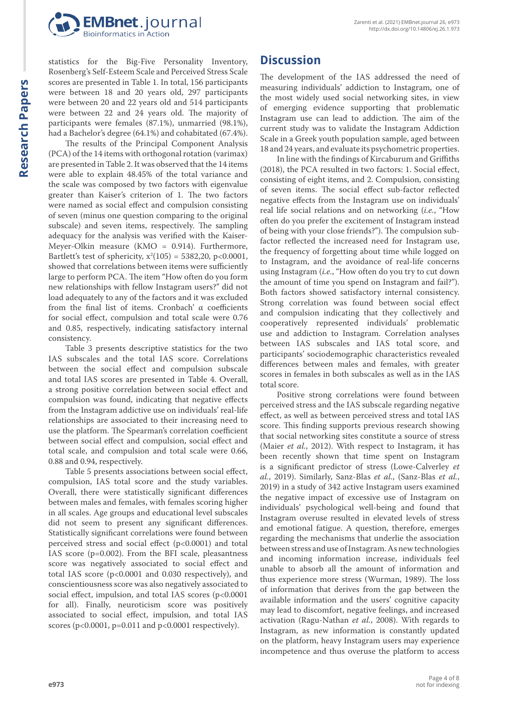

statistics for the Big-Five Personality Inventory, Rosenberg's Self-Esteem Scale and Perceived Stress Scale scores are presented in Table 1. In total, 156 participants were between 18 and 20 years old, 297 participants were between 20 and 22 years old and 514 participants were between 22 and 24 years old. The majority of participants were females (87.1%), unmarried (98.1%), had a Bachelor's degree (64.1%) and cohabitated (67.4%).

The results of the Principal Component Analysis (PCA) of the 14 items with orthogonal rotation (varimax) are presented in Table 2. It was observed that the 14 items were able to explain 48.45% of the total variance and the scale was composed by two factors with eigenvalue greater than Kaiser's criterion of 1. The two factors were named as social effect and compulsion consisting of seven (minus one question comparing to the original subscale) and seven items, respectively. The sampling adequacy for the analysis was verified with the Kaiser-Meyer-Olkin measure (KMO = 0.914). Furthermore, Bartlett's test of sphericity,  $x^2(105) = 5382,20, p<0.0001,$ showed that correlations between items were sufficiently large to perform PCA. The item "How often do you form new relationships with fellow Instagram users?" did not load adequately to any of the factors and it was excluded from the final list of items. Cronbach' α coefficients for social effect, compulsion and total scale were 0.76 and 0.85, respectively, indicating satisfactory internal consistency.

Table 3 presents descriptive statistics for the two IAS subscales and the total IAS score. Correlations between the social effect and compulsion subscale and total IAS scores are presented in Table 4. Overall, a strong positive correlation between social effect and compulsion was found, indicating that negative effects from the Instagram addictive use on individuals' real-life relationships are associated to their increasing need to use the platform. The Spearman's correlation coefficient between social effect and compulsion, social effect and total scale, and compulsion and total scale were 0.66, 0.88 and 0.94, respectively.

Table 5 presents associations between social effect, compulsion, IAS total score and the study variables. Overall, there were statistically significant differences between males and females, with females scoring higher in all scales. Age groups and educational level subscales did not seem to present any significant differences. Statistically significant correlations were found between perceived stress and social effect (p<0.0001) and total IAS score (p=0.002). From the BFI scale, pleasantness score was negatively associated to social effect and total IAS score (p<0.0001 and 0.030 respectively), and conscientiousness score was also negatively associated to social effect, impulsion, and total IAS scores (p<0.0001 for all). Finally, neuroticism score was positively associated to social effect, impulsion, and total IAS scores ( $p<0.0001$ ,  $p=0.011$  and  $p<0.0001$  respectively).

## **Discussion**

The development of the IAS addressed the need of measuring individuals' addiction to Instagram, one of the most widely used social networking sites, in view of emerging evidence supporting that problematic Instagram use can lead to addiction. The aim of the current study was to validate the Instagram Addiction Scale in a Greek youth population sample, aged between 18 and 24 years, and evaluate its psychometric properties.

In line with the findings of Kircaburum and Griffiths (2018), the PCA resulted in two factors: 1. Social effect, consisting of eight items, and 2. Compulsion, consisting of seven items. The social effect sub-factor reflected negative effects from the Instagram use on individuals' real life social relations and on networking (*i.e.*, "How often do you prefer the excitement of Instagram instead of being with your close friends?"). The compulsion subfactor reflected the increased need for Instagram use, the frequency of forgetting about time while logged on to Instagram, and the avoidance of real-life concerns using Instagram (*i.e.*, "How often do you try to cut down the amount of time you spend on Instagram and fail?"). Both factors showed satisfactory internal consistency. Strong correlation was found between social effect and compulsion indicating that they collectively and cooperatively represented individuals' problematic use and addiction to Instagram. Correlation analyses between IAS subscales and IAS total score, and participants' sociodemographic characteristics revealed differences between males and females, with greater scores in females in both subscales as well as in the IAS total score.

Positive strong correlations were found between perceived stress and the IAS subscale regarding negative effect, as well as between perceived stress and total IAS score. This finding supports previous research showing that social networking sites constitute a source of stress (Maier *et al.*, 2012). With respect to Instagram, it has been recently shown that time spent on Instagram is a significant predictor of stress (Lowe-Calverley *et al.*, 2019). Similarly, Sanz-Blas *et al.*, (Sanz-Blas *et al.*, 2019) in a study of 342 active Instagram users examined the negative impact of excessive use of Instagram on individuals' psychological well-being and found that Instagram overuse resulted in elevated levels of stress and emotional fatigue. A question, therefore, emerges regarding the mechanisms that underlie the association between stress and use of Instagram. As new technologies and incoming information increase, individuals feel unable to absorb all the amount of information and thus experience more stress (Wurman, 1989). The loss of information that derives from the gap between the available information and the users' cognitive capacity may lead to discomfort, negative feelings, and increased activation (Ragu-Nathan *et al.*, 2008). With regards to Instagram, as new information is constantly updated on the platform, heavy Instagram users may experience incompetence and thus overuse the platform to access

**Research Papers**

Research Papers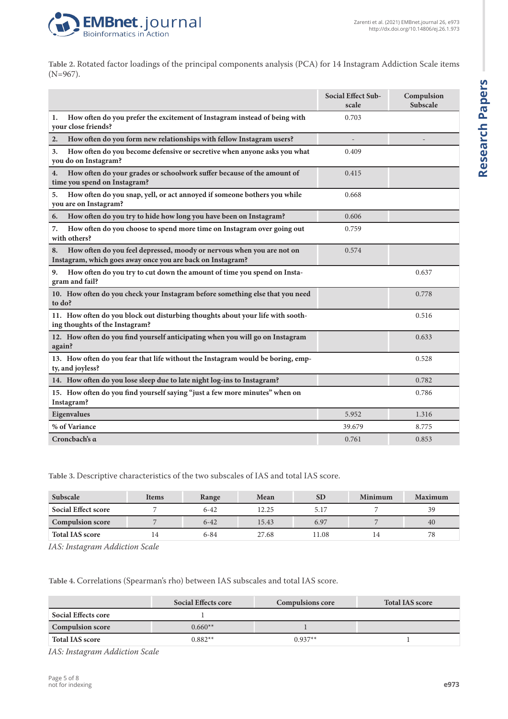

**Table 2.** Rotated factor loadings of the principal components analysis (PCA) for 14 Instagram Addiction Scale items (N=967).

|                                                                                                                                           | <b>Social Effect Sub-</b><br>scale | Compulsion<br>Subscale |
|-------------------------------------------------------------------------------------------------------------------------------------------|------------------------------------|------------------------|
| How often do you prefer the excitement of Instagram instead of being with<br>1.<br>your close friends?                                    | 0.703                              |                        |
| How often do you form new relationships with fellow Instagram users?<br>2.                                                                |                                    |                        |
| How often do you become defensive or secretive when anyone asks you what<br>3.<br>you do on Instagram?                                    | 0.409                              |                        |
| How often do your grades or schoolwork suffer because of the amount of<br>4.<br>time you spend on Instagram?                              | 0.415                              |                        |
| How often do you snap, yell, or act annoyed if someone bothers you while<br>5.<br>you are on Instagram?                                   | 0.668                              |                        |
| How often do you try to hide how long you have been on Instagram?<br>6.                                                                   | 0.606                              |                        |
| How often do you choose to spend more time on Instagram over going out<br>7.<br>with others?                                              | 0.759                              |                        |
| How often do you feel depressed, moody or nervous when you are not on<br>8.<br>Instagram, which goes away once you are back on Instagram? | 0.574                              |                        |
| How often do you try to cut down the amount of time you spend on Insta-<br>9.<br>gram and fail?                                           |                                    | 0.637                  |
| 10. How often do you check your Instagram before something else that you need<br>to do?                                                   |                                    | 0.778                  |
| 11. How often do you block out disturbing thoughts about your life with sooth-<br>ing thoughts of the Instagram?                          |                                    | 0.516                  |
| 12. How often do you find yourself anticipating when you will go on Instagram<br>again?                                                   |                                    | 0.633                  |
| 13. How often do you fear that life without the Instagram would be boring, emp-<br>ty, and joyless?                                       |                                    | 0.528                  |
| 14. How often do you lose sleep due to late night log-ins to Instagram?                                                                   |                                    | 0.782                  |
| 15. How often do you find yourself saying "just a few more minutes" when on<br>Instagram?                                                 |                                    | 0.786                  |
| Eigenvalues                                                                                                                               | 5.952                              | 1.316                  |
| % of Variance                                                                                                                             | 39.679                             | 8.775                  |
| Cronchach's a                                                                                                                             | 0.761                              | 0.853                  |

**Research Papers Research Papers**

**Table 3.** Descriptive characteristics of the two subscales of IAS and total IAS score.

| Subscale                   | <b>Items</b> | Range    | Mean  | SD    | Minimum | <b>Maximum</b> |
|----------------------------|--------------|----------|-------|-------|---------|----------------|
| <b>Social Effect score</b> |              | $6 - 42$ | 12.25 | 5.17  |         | 39             |
| <b>Compulsion score</b>    |              | $6 - 42$ | 15.43 | 6.97  |         | 40             |
| <b>Total IAS score</b>     |              | $6 - 84$ | 27.68 | 11.08 |         | 78             |

*IAS: Instagram Addiction Scale*

**Table 4.** Correlations (Spearman's rho) between IAS subscales and total IAS score.

|                         | <b>Social Effects core</b> | <b>Compulsions core</b> | <b>Total IAS score</b> |
|-------------------------|----------------------------|-------------------------|------------------------|
| Social Effects core     |                            |                         |                        |
| <b>Compulsion score</b> | $0.660**$                  |                         |                        |
| <b>Total IAS score</b>  | $0.882**$                  | $0.937**$               |                        |

*IAS: Instagram Addiction Scale*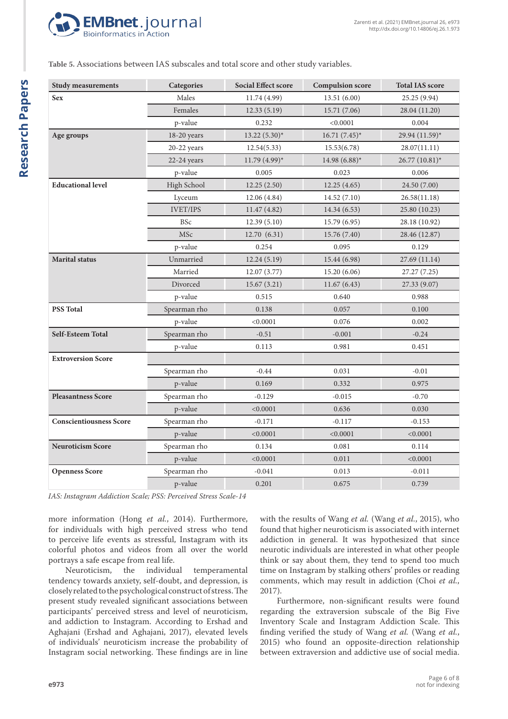

#### **Table 5.** Associations between IAS subscales and total score and other study variables.

| <b>Study measurements</b>      | Categories      | <b>Social Effect score</b> | <b>Compulsion score</b> | <b>Total IAS score</b> |
|--------------------------------|-----------------|----------------------------|-------------------------|------------------------|
| <b>Sex</b>                     | Males           | 11.74 (4.99)               | 13.51(6.00)             | 25.25 (9.94)           |
|                                | Females         | 12.33(5.19)                | 15.71(7.06)             | 28.04 (11.20)          |
|                                | p-value         | 0.232                      | < 0.0001                | 0.004                  |
| Age groups                     | 18-20 years     | $13.22(5.30)^{*}$          | $16.71(7.45)^*$         | 29.94 (11.59)*         |
|                                | 20-22 years     | 12.54(5.33)                | 15.53(6.78)             | 28.07(11.11)           |
|                                | 22-24 years     | $11.79(4.99)^{*}$          | $14.98(6.88)^{*}$       | $26.77(10.81)^*$       |
|                                | p-value         | 0.005                      | 0.023                   | 0.006                  |
| <b>Educational level</b>       | High School     | 12.25(2.50)                | 12.25(4.65)             | 24.50 (7.00)           |
|                                | Lyceum          | 12.06(4.84)                | 14.52(7.10)             | 26.58(11.18)           |
|                                | <b>IVET/IPS</b> | 11.47(4.82)                | 14.34(6.53)             | 25.80 (10.23)          |
|                                | <b>BSc</b>      | 12.39(5.10)                | 15.79 (6.95)            | 28.18 (10.92)          |
|                                | <b>MSc</b>      | 12.70 (6.31)               | 15.76(7.40)             | 28.46 (12.87)          |
|                                | p-value         | 0.254                      | 0.095                   | 0.129                  |
| <b>Marital</b> status          | Unmarried       | 12.24(5.19)                | 15.44 (6.98)            | 27.69 (11.14)          |
|                                | Married         | 12.07(3.77)                | 15.20(6.06)             | 27.27 (7.25)           |
|                                | Divorced        | 15.67(3.21)                | 11.67(6.43)             | 27.33 (9.07)           |
|                                | p-value         | 0.515                      | 0.640                   | 0.988                  |
| <b>PSS Total</b>               | Spearman rho    | 0.138                      | 0.057                   | 0.100                  |
|                                | p-value         | < 0.0001                   | 0.076                   | 0.002                  |
| Self-Esteem Total              | Spearman rho    | $-0.51$                    | $-0.001$                | $-0.24$                |
|                                | p-value         | 0.113                      | 0.981                   | 0.451                  |
| <b>Extroversion Score</b>      |                 |                            |                         |                        |
|                                | Spearman rho    | $-0.44$                    | 0.031                   | $-0.01$                |
|                                | p-value         | 0.169                      | 0.332                   | 0.975                  |
| <b>Pleasantness Score</b>      | Spearman rho    | $-0.129$                   | $-0.015$                | $-0.70$                |
|                                | p-value         | < 0.0001                   | 0.636                   | 0.030                  |
| <b>Conscientiousness Score</b> | Spearman rho    | $-0.171$                   | $-0.117$                | $-0.153$               |
|                                | p-value         | < 0.0001                   | < 0.0001                | < 0.0001               |
| <b>Neuroticism Score</b>       | Spearman rho    | 0.134                      | 0.081                   | 0.114                  |
|                                | p-value         | < 0.0001                   | 0.011                   | < 0.0001               |
| <b>Openness Score</b>          | Spearman rho    | $-0.041$                   | 0.013                   | $-0.011$               |
|                                | p-value         | 0.201                      | 0.675                   | 0.739                  |

*IAS: Instagram Addiction Scale; PSS: Perceived Stress Scale-14*

more information (Hong *et al.*, 2014). Furthermore, for individuals with high perceived stress who tend to perceive life events as stressful, Instagram with its colorful photos and videos from all over the world portrays a safe escape from real life.

Neuroticism, the individual temperamental tendency towards anxiety, self-doubt, and depression, is closely related to the psychological construct of stress. The present study revealed significant associations between participants' perceived stress and level of neuroticism, and addiction to Instagram. According to Ershad and Aghajani (Ershad and Aghajani, 2017), elevated levels of individuals' neuroticism increase the probability of Instagram social networking. These findings are in line with the results of Wang *et al.* (Wang *et al.*, 2015), who found that higher neuroticism is associated with internet addiction in general. It was hypothesized that since neurotic individuals are interested in what other people think or say about them, they tend to spend too much time on Instagram by stalking others' profiles or reading comments, which may result in addiction (Choi *et al.*, 2017).

Furthermore, non-significant results were found regarding the extraversion subscale of the Big Five Inventory Scale and Instagram Addiction Scale. This finding verified the study of Wang *et al.* (Wang *et al.*, 2015) who found an opposite-direction relationship between extraversion and addictive use of social media.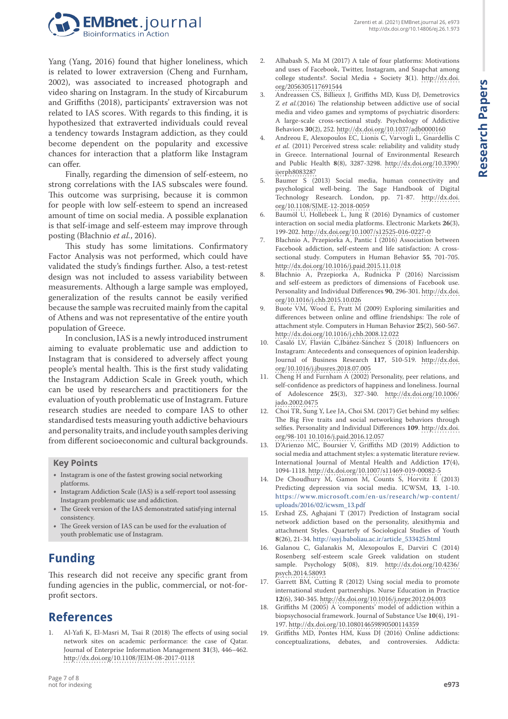

Yang (Yang, 2016) found that higher loneliness, which is related to lower extraversion (Cheng and Furnham, 2002), was associated to increased photograph and video sharing on Instagram. In the study of Kircaburum and Griffiths (2018), participants' extraversion was not related to IAS scores. With regards to this finding, it is hypothesized that extraverted individuals could reveal a tendency towards Instagram addiction, as they could become dependent on the popularity and excessive chances for interaction that a platform like Instagram can offer.

Finally, regarding the dimension of self-esteem, no strong correlations with the IAS subscales were found. This outcome was surprising, because it is common for people with low self-esteem to spend an increased amount of time on social media. A possible explanation is that self-image and self-esteem may improve through posting (Błachnio *et al.*, 2016).

This study has some limitations. Confirmatory Factor Analysis was not performed, which could have validated the study's findings further. Also, a test-retest design was not included to assess variability between measurements. Although a large sample was employed, generalization of the results cannot be easily verified because the sample was recruited mainly from the capital of Athens and was not representative of the entire youth population of Greece.

In conclusion, IAS is a newly introduced instrument aiming to evaluate problematic use and addiction to Instagram that is considered to adversely affect young people's mental health. This is the first study validating the Instagram Addiction Scale in Greek youth, which can be used by researchers and practitioners for the evaluation of youth problematic use of Instagram. Future research studies are needed to compare IAS to other standardised tests measuring youth addictive behaviours and personality traits, and include youth samples deriving from different socioeconomic and cultural backgrounds.

#### **Key Points**

- Instagram is one of the fastest growing social networking platforms.
- Instagram Addiction Scale (IAS) is a self-report tool assessing Instagram problematic use and addiction.
- The Greek version of the IAS demonstrated satisfying internal consistency.
- The Greek version of IAS can be used for the evaluation of youth problematic use of Instagram.

# **Funding**

This research did not receive any specific grant from funding agencies in the public, commercial, or not-forprofit sectors.

# **References**

1. Al-Yafi K, El-Masri M, Tsai R (2018) The effects of using social network sites on academic performance: the case of Qatar. Journal of Enterprise Information Management **31**(3), 446–462. <http://dx.doi.org/10.1108/JEIM-08-2017-0118>

2. Alhabash S, Ma M (2017) A tale of four platforms: Motivations and uses of Facebook, Twitter, Instagram, and Snapchat among college students?. Social Media + Society **3**(1). [http://dx.doi.](http://dx.doi.org/2056305117691544) [org/2056305117691544](http://dx.doi.org/2056305117691544)

Zarenti et al. (2021) EMBnet.journal 26, e973 <http://dx.doi.org/10.14806/ej.26.1.973>

- 3. Andreassen CS, Billieux J, Griffiths MD, Kuss DJ, Demetrovics Z *et al.*(2016) The relationship between addictive use of social media and video games and symptoms of psychiatric disorders: A large-scale cross-sectional study. Psychology of Addictive Behaviors **30**(2), 252. <http://dx.doi.org/10.1037/adb0000160>
- 4. Andreou E, Alexopoulos EC, Lionis C, Varvogli L, Gnardellis C *et al.* (2011) Perceived stress scale: reliability and validity study in Greece. International Journal of Environmental Research and Public Health **8**(8), 3287-3298. [http://dx.doi.org/10.3390/](http://dx.doi.org/10.3390/ijerph8083287) [ijerph8083287](http://dx.doi.org/10.3390/ijerph8083287)
- 5. Baumer S (2013) Social media, human connectivity and psychological well-being. The Sage Handbook of Digital Technology Research. London, pp. 71-87. [http://dx.doi.](http://dx.doi.org/10.1108/SJME-12-2018-0059) [org/10.1108/SJME-12-2018-0059](http://dx.doi.org/10.1108/SJME-12-2018-0059)
- 6. Baumöl U, Hollebeek L, Jung R (2016) Dynamics of customer interaction on social media platforms. Electronic Markets **26**(3), 199-202. <http://dx.doi.org/10.1007/s12525-016-0227-0>
- 7. Błachnio A, Przepiorka A, Pantic I (2016) Association between Facebook addiction, self-esteem and life satisfaction: A crosssectional study. Computers in Human Behavior **55**, 701-705. <http://dx.doi.org/10.1016/j.paid.2015.11.018>
- 8. Błachnio A, Przepiorka A, Rudnicka P (2016) Narcissism and self-esteem as predictors of dimensions of Facebook use. Personality and Individual Differences **90**, 296-301. [http://dx.doi.](http://dx.doi.org/10.1016/j.chb.2015.10.026) [org/10.1016/j.chb.2015.10.026](http://dx.doi.org/10.1016/j.chb.2015.10.026)
- 9. Buote VM, Wood E, Pratt M (2009) Exploring similarities and differences between online and offline friendships: The role of attachment style. Computers in Human Behavior **25**(2), 560-567. <http://dx.doi.org/10.1016/j.chb.2008.12.022>
- 10. Casaló LV, Flavián C,Ibáñez-Sánchez S (2018) Influencers on Instagram: Antecedents and consequences of opinion leadership. Journal of Business Research **117**, 510-519. [http://dx.doi.](http://dx.doi.org/10.1016/j.jbusres.2018.07.005) [org/10.1016/j.jbusres.2018.07.005](http://dx.doi.org/10.1016/j.jbusres.2018.07.005)
- 11. Cheng H and Furnham A (2002) Personality, peer relations, and self-confidence as predictors of happiness and loneliness. Journal of Adolescence **25**(3), 327-340. [http://dx.doi.org/10.1006/](http://dx.doi.org/10.1006/jado.2002.0475) [jado.2002.0475](http://dx.doi.org/10.1006/jado.2002.0475)
- 12. Choi TR, Sung Y, Lee JA, Choi SM. (2017) Get behind my selfies: The Big Five traits and social networking behaviors through selfies. Personality and Individual Differences **109**. [http://dx.doi.](http://dx.doi.org/98-101 10.1016/j.paid.2016.12.057) [org/98-101 10.1016/j.paid.2016.12.057](http://dx.doi.org/98-101 10.1016/j.paid.2016.12.057)
- 13. D'Arienzo MC, Boursier V, Griffiths MD (2019) Addiction to social media and attachment styles: a systematic literature review. International Journal of Mental Health and Addiction **17**(4), 1094-1118. <http://dx.doi.org/10.1007/s11469-019-00082-5>
- 14. De Choudhury M, Gamon M, Counts S, Horvitz E (2013) Predicting depression via social media. ICWSM, **13**, 1-10. [https://www.microsoft.com/en-us/research/wp-content/](https://www.microsoft.com/en-us/research/wp-content/uploads/2016/02/icwsm_13.pdf) [uploads/2016/02/icwsm\\_13.pdf](https://www.microsoft.com/en-us/research/wp-content/uploads/2016/02/icwsm_13.pdf)
- 15. Ershad ZS, Aghajani T (2017) Prediction of Instagram social network addiction based on the personality, alexithymia and attachment Styles. Quarterly of Sociological Studies of Youth **8**(26), 21-34. [http://ssyj.baboliau.ac.ir/article\\_533425.html](http://ssyj.baboliau.ac.ir/article_533425.html)
- 16. Galanou C, Galanakis M, Alexopoulos E, Darviri C (2014) Rosenberg self-esteem scale Greek validation on student sample. Psychology **5**(08), 819. [http://dx.doi.org/10.4236/](http://dx.doi.org/10.4236/psych.2014.58093) [psych.2014.58093](http://dx.doi.org/10.4236/psych.2014.58093)
- 17. Garrett BM, Cutting R (2012) Using social media to promote international student partnerships. Nurse Education in Practice **12**(6), 340-345.<http://dx.doi.org/10.1016/j.nepr.2012.04.003>
- 18. Griffiths M (2005) A 'components' model of addiction within a biopsychosocial framework. Journal of Substance Use **10**(4), 191- 197. <http://dx.doi.org/10.108014659890500114359>
- 19. Griffiths MD, Pontes HM, Kuss DJ (2016) Online addictions: conceptualizations, debates, and controversies. Addicta: